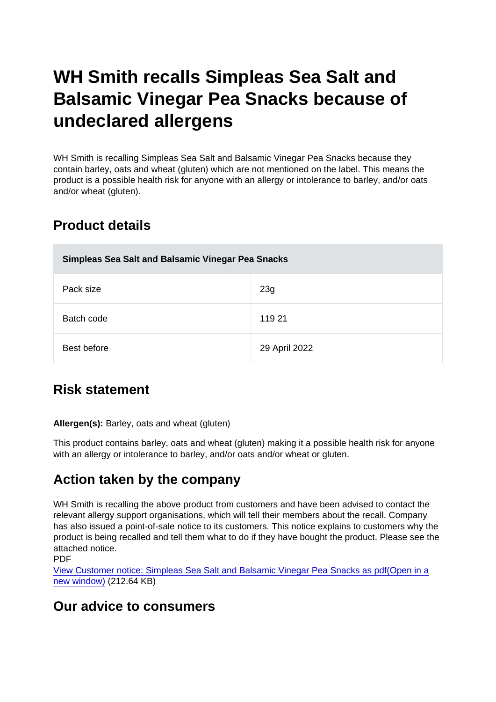# WH Smith recalls Simpleas Sea Salt and Balsamic Vinegar Pea Snacks because of undeclared allergens

WH Smith is recalling Simpleas Sea Salt and Balsamic Vinegar Pea Snacks because they contain barley, oats and wheat (gluten) which are not mentioned on the label. This means the product is a possible health risk for anyone with an allergy or intolerance to barley, and/or oats and/or wheat (gluten).

## Product details

| Simpleas Sea Salt and Balsamic Vinegar Pea Snacks |               |
|---------------------------------------------------|---------------|
| Pack size                                         | 23g           |
| Batch code                                        | 119 21        |
| Best before                                       | 29 April 2022 |

## Risk statement

Allergen(s): Barley, oats and wheat (gluten)

This product contains barley, oats and wheat (gluten) making it a possible health risk for anyone with an allergy or intolerance to barley, and/or oats and/or wheat or gluten.

## Action taken by the company

WH Smith is recalling the above product from customers and have been advised to contact the relevant allergy support organisations, which will tell their members about the recall. Company has also issued a point-of-sale notice to its customers. This notice explains to customers why the product is being recalled and tell them what to do if they have bought the product. Please see the attached notice.

PDF

[View Customer notice: Simpleas Sea Salt and Balsamic Vinegar Pea Snacks as pdf\(Open in a](https://s3-eu-west-1.amazonaws.com/fsa-alerts-files/production/FSA-AA-30-2021/customer-notice-fsa-aa-30-2021.pdf) [new window\)](https://s3-eu-west-1.amazonaws.com/fsa-alerts-files/production/FSA-AA-30-2021/customer-notice-fsa-aa-30-2021.pdf) (212.64 KB)

#### Our advice to consumers